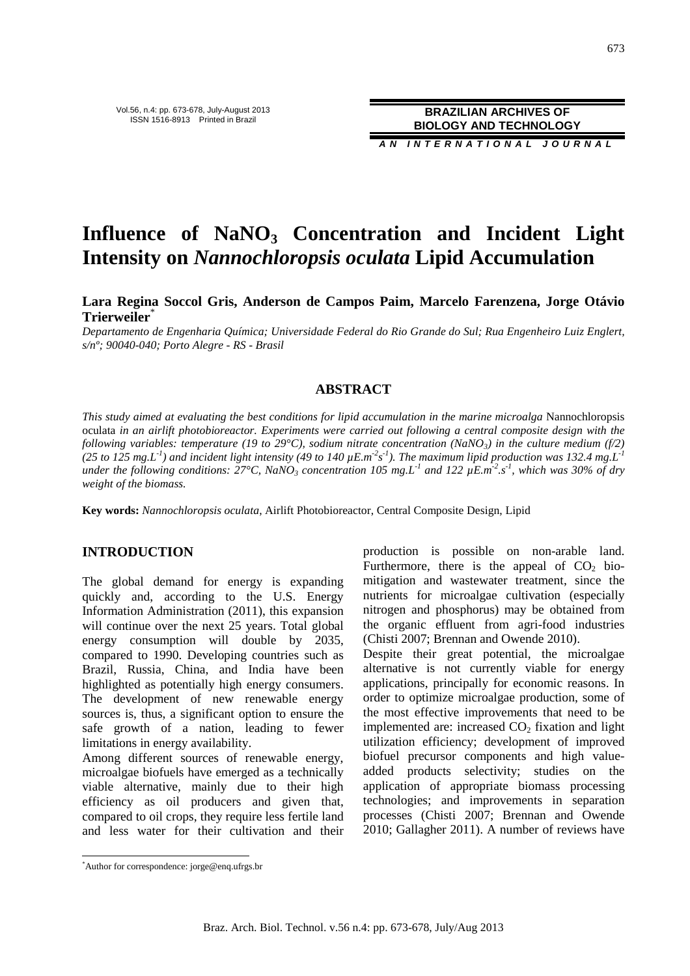**A N I N T E R N A T I O N A L J O U R N A L**

# **Influence of NaNO3 Concentration and Incident Light Intensity on** *Nannochloropsis oculata* **Lipid Accumulation**

**Lara Regina Soccol Gris, Anderson de Campos Paim, Marcelo Farenzena, Jorge Otávio Trierweiler**\*

*Departamento de Engenharia Química; Universidade Federal do Rio Grande do Sul; Rua Engenheiro Luiz Englert, s/nº; 90040-040; Porto Alegre - RS - Brasil* 

# **ABSTRACT**

*This study aimed at evaluating the best conditions for lipid accumulation in the marine microalga* Nannochloropsis oculata *in an airlift photobioreactor. Experiments were carried out following a central composite design with the following variables: temperature (19 to 29°C), sodium nitrate concentration (NaNO<sub>3</sub>) in the culture medium (f/2)* (25 to 125 mg.L<sup>-1</sup>) and incident light intensity (49 to 140  $\mu$ E.m<sup>-2</sup>s<sup>-1</sup>). The maximum lipid production was 132.4 mg.L<sup>-1</sup> *under the following conditions: 27°C, NaNO3 concentration 105 mg.L-1 and 122 µE.m-2 .s -1, which was 30% of dry weight of the biomass.* 

**Key words:** *Nannochloropsis oculata*, Airlift Photobioreactor, Central Composite Design, Lipid

## **INTRODUCTION**

The global demand for energy is expanding quickly and, according to the U.S. Energy Information Administration (2011), this expansion will continue over the next 25 years. Total global energy consumption will double by 2035, compared to 1990. Developing countries such as Brazil, Russia, China, and India have been highlighted as potentially high energy consumers. The development of new renewable energy sources is, thus, a significant option to ensure the safe growth of a nation, leading to fewer limitations in energy availability.

Among different sources of renewable energy, microalgae biofuels have emerged as a technically viable alternative, mainly due to their high efficiency as oil producers and given that, compared to oil crops, they require less fertile land and less water for their cultivation and their production is possible on non-arable land. Furthermore, there is the appeal of  $CO<sub>2</sub>$  biomitigation and wastewater treatment, since the nutrients for microalgae cultivation (especially nitrogen and phosphorus) may be obtained from the organic effluent from agri-food industries (Chisti 2007; Brennan and Owende 2010).

Despite their great potential, the microalgae alternative is not currently viable for energy applications, principally for economic reasons. In order to optimize microalgae production, some of the most effective improvements that need to be implemented are: increased  $CO<sub>2</sub>$  fixation and light utilization efficiency; development of improved biofuel precursor components and high valueadded products selectivity; studies on the application of appropriate biomass processing technologies; and improvements in separation processes (Chisti 2007; Brennan and Owende 2010; Gallagher 2011). A number of reviews have

 $\overline{a}$ 

<sup>\*</sup>Author for correspondence: jorge@enq.ufrgs.br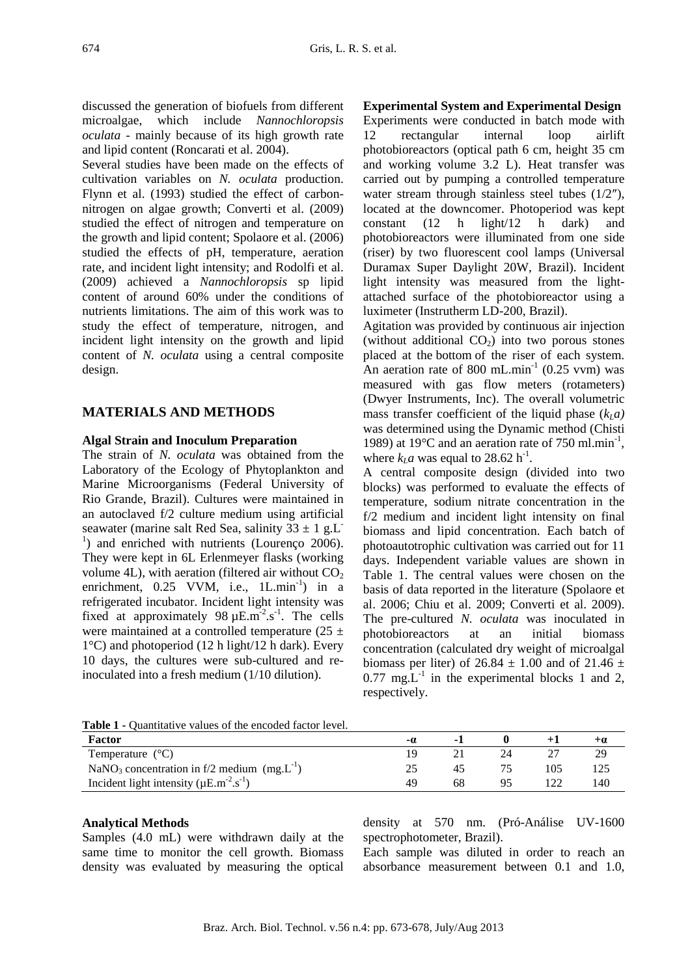discussed the generation of biofuels from different microalgae, which include *Nannochloropsis oculata* - mainly because of its high growth rate and lipid content (Roncarati et al. 2004).

Several studies have been made on the effects of cultivation variables on *N. oculata* production. Flynn et al. (1993) studied the effect of carbonnitrogen on algae growth; Converti et al. (2009) studied the effect of nitrogen and temperature on the growth and lipid content; Spolaore et al. (2006) studied the effects of pH, temperature, aeration rate, and incident light intensity; and Rodolfi et al. (2009) achieved a *Nannochloropsis* sp lipid content of around 60% under the conditions of nutrients limitations. The aim of this work was to study the effect of temperature, nitrogen, and incident light intensity on the growth and lipid content of *N. oculata* using a central composite design.

# **MATERIALS AND METHODS**

#### **Algal Strain and Inoculum Preparation**

The strain of *N. oculata* was obtained from the Laboratory of the Ecology of Phytoplankton and Marine Microorganisms (Federal University of Rio Grande, Brazil). Cultures were maintained in an autoclaved f/2 culture medium using artificial seawater (marine salt Red Sea, salinity  $33 \pm 1$  g.L<sup>-</sup> <sup>1</sup>) and enriched with nutrients (Lourenço 2006). They were kept in 6L Erlenmeyer flasks (working volume 4L), with aeration (filtered air without  $CO<sub>2</sub>$ enrichment,  $0.25$  VVM, i.e.,  $1$ L.min<sup>-1</sup>) in a refrigerated incubator. Incident light intensity was fixed at approximately  $98 \mu E.m^{-2}.s^{-1}$ . The cells were maintained at a controlled temperature (25  $\pm$  $1^{\circ}$ C) and photoperiod (12 h light/12 h dark). Every 10 days, the cultures were sub-cultured and reinoculated into a fresh medium (1/10 dilution).

### **Experimental System and Experimental Design**

Experiments were conducted in batch mode with 12 rectangular internal loop airlift photobioreactors (optical path 6 cm, height 35 cm and working volume 3.2 L). Heat transfer was carried out by pumping a controlled temperature water stream through stainless steel tubes  $(1/2<sup>n</sup>)$ , located at the downcomer. Photoperiod was kept constant (12 h light/12 h dark) and photobioreactors were illuminated from one side (riser) by two fluorescent cool lamps (Universal Duramax Super Daylight 20W, Brazil). Incident light intensity was measured from the lightattached surface of the photobioreactor using a luximeter (Instrutherm LD-200, Brazil).

Agitation was provided by continuous air injection (without additional  $CO<sub>2</sub>$ ) into two porous stones placed at the bottom of the riser of each system. An aeration rate of 800 mL.min $^{-1}$  (0.25 vvm) was measured with gas flow meters (rotameters) (Dwyer Instruments, Inc). The overall volumetric mass transfer coefficient of the liquid phase  $(k_l a)$ was determined using the Dynamic method (Chisti 1989) at 19 $^{\circ}$ C and an aeration rate of 750 ml.min<sup>-1</sup>, where  $k<sub>L</sub>a$  was equal to 28.62 h<sup>-1</sup>.

A central composite design (divided into two blocks) was performed to evaluate the effects of temperature, sodium nitrate concentration in the f/2 medium and incident light intensity on final biomass and lipid concentration. Each batch of photoautotrophic cultivation was carried out for 11 days. Independent variable values are shown in Table 1. The central values were chosen on the basis of data reported in the literature (Spolaore et al. 2006; Chiu et al. 2009; Converti et al. 2009). The pre-cultured *N. oculata* was inoculated in photobioreactors at an initial biomass concentration (calculated dry weight of microalgal biomass per liter) of  $26.84 \pm 1.00$  and of  $21.46 \pm 1.00$  $0.77 \text{ mg} \cdot \text{L}^{-1}$  in the experimental blocks 1 and 2, respectively.

| .<br>gaanina 's 'ando of the cheoded herof te 'en                     |    |    |  |  |      |  |  |  |  |  |
|-----------------------------------------------------------------------|----|----|--|--|------|--|--|--|--|--|
| Factor                                                                | -0 |    |  |  |      |  |  |  |  |  |
| Temperature $(^{\circ}C)$                                             |    |    |  |  |      |  |  |  |  |  |
| NaNO <sub>3</sub> concentration in f/2 medium $(mg.L^{-1})$           |    | 45 |  |  |      |  |  |  |  |  |
| Incident light intensity ( $\mu$ E.m <sup>-2</sup> .s <sup>-1</sup> ) | 49 | 68 |  |  | l 40 |  |  |  |  |  |

**Table 1 -** Quantitative values of the encoded factor level.

#### **Analytical Methods**

Samples (4.0 mL) were withdrawn daily at the same time to monitor the cell growth. Biomass density was evaluated by measuring the optical density at 570 nm. (Pró-Análise UV-1600 spectrophotometer, Brazil).

Each sample was diluted in order to reach an absorbance measurement between 0.1 and 1.0,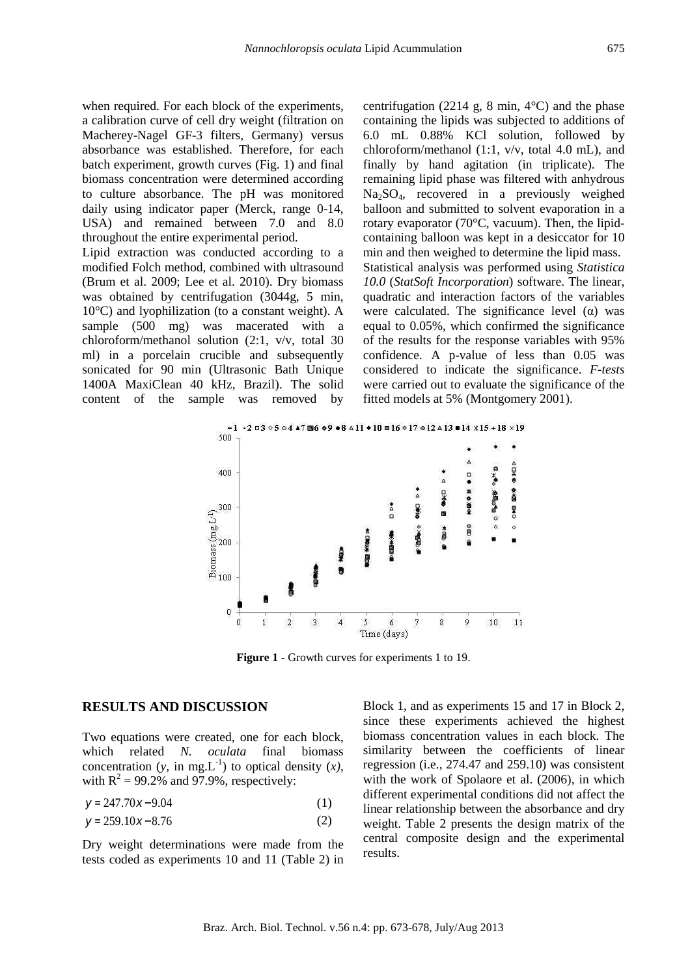when required. For each block of the experiments, a calibration curve of cell dry weight (filtration on Macherey-Nagel GF-3 filters, Germany) versus absorbance was established. Therefore, for each batch experiment, growth curves (Fig. 1) and final biomass concentration were determined according to culture absorbance. The pH was monitored daily using indicator paper (Merck, range 0-14, USA) and remained between 7.0 and 8.0 throughout the entire experimental period.

Lipid extraction was conducted according to a modified Folch method, combined with ultrasound (Brum et al. 2009; Lee et al. 2010). Dry biomass was obtained by centrifugation (3044g, 5 min, 10°C) and lyophilization (to a constant weight). A sample (500 mg) was macerated with a chloroform/methanol solution (2:1, v/v, total 30 ml) in a porcelain crucible and subsequently sonicated for 90 min (Ultrasonic Bath Unique 1400A MaxiClean 40 kHz, Brazil). The solid content of the sample was removed by centrifugation (2214 g, 8 min,  $4^{\circ}$ C) and the phase containing the lipids was subjected to additions of 6.0 mL 0.88% KCl solution, followed by chloroform/methanol (1:1, v/v, total 4.0 mL), and finally by hand agitation (in triplicate). The remaining lipid phase was filtered with anhydrous  $Na<sub>2</sub>SO<sub>4</sub>$ , recovered in a previously weighed balloon and submitted to solvent evaporation in a rotary evaporator (70°C, vacuum). Then, the lipidcontaining balloon was kept in a desiccator for 10 min and then weighed to determine the lipid mass. Statistical analysis was performed using *Statistica 10.0* (*StatSoft Incorporation*) software. The linear, quadratic and interaction factors of the variables were calculated. The significance level  $(\alpha)$  was equal to 0.05%, which confirmed the significance of the results for the response variables with 95% confidence. A p-value of less than 0.05 was considered to indicate the significance. *F-tests* were carried out to evaluate the significance of the fitted models at 5% (Montgomery 2001).



**Figure 1 -** Growth curves for experiments 1 to 19.

#### **RESULTS AND DISCUSSION**

Two equations were created, one for each block, which related *N. oculata* final biomass concentration (*y*, in mg.L<sup>-1</sup>) to optical density  $(x)$ , with  $R^2 = 99.2\%$  and 97.9%, respectively:

$$
y = 247.70x - 9.04\tag{1}
$$

$$
y = 259.10x - 8.76\tag{2}
$$

Dry weight determinations were made from the tests coded as experiments 10 and 11 (Table 2) in Block 1, and as experiments 15 and 17 in Block 2, since these experiments achieved the highest biomass concentration values in each block. The similarity between the coefficients of linear regression (i.e., 274.47 and 259.10) was consistent with the work of Spolaore et al. (2006), in which different experimental conditions did not affect the linear relationship between the absorbance and dry weight. Table 2 presents the design matrix of the central composite design and the experimental results.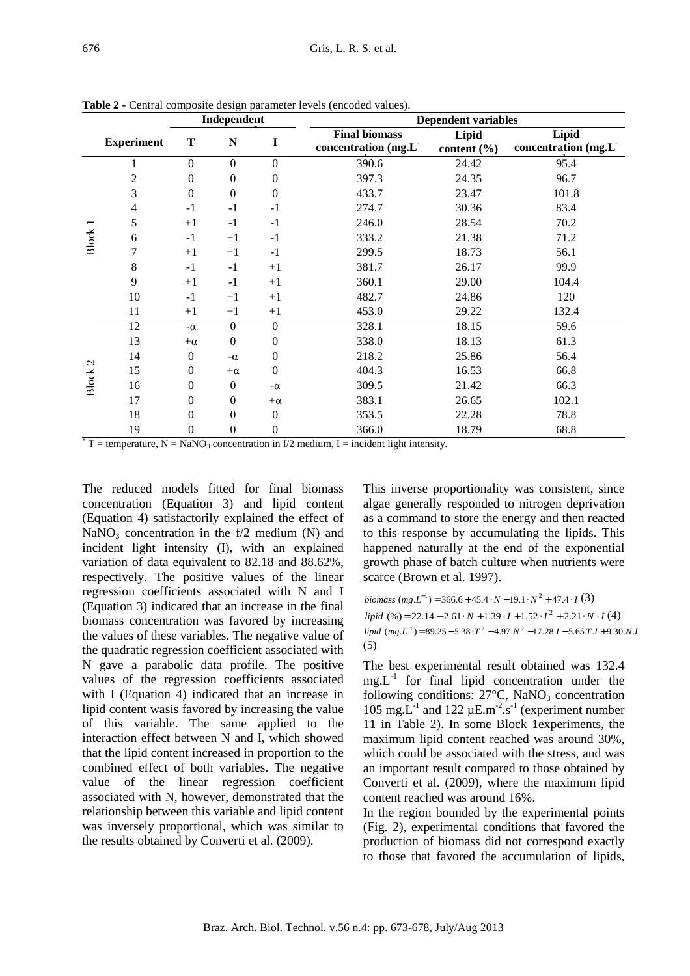| Independent       |              | <b>Dependent variables</b> |                  |                                                          |                          |                                                                                                                                                                                                                                                                                                                                                                                     |
|-------------------|--------------|----------------------------|------------------|----------------------------------------------------------|--------------------------|-------------------------------------------------------------------------------------------------------------------------------------------------------------------------------------------------------------------------------------------------------------------------------------------------------------------------------------------------------------------------------------|
| <b>Experiment</b> | T            | N                          | I                | <b>Final biomass</b><br>concentration (mg.L <sup>-</sup> | Lipid<br>content $(\% )$ | Lipid<br>concentration (mg.L <sup>-</sup>                                                                                                                                                                                                                                                                                                                                           |
|                   | $\Omega$     | $\Omega$                   | $\theta$         | 390.6                                                    | 24.42                    | 95.4                                                                                                                                                                                                                                                                                                                                                                                |
| 2                 | $\theta$     | $\Omega$                   | $\mathbf{0}$     | 397.3                                                    | 24.35                    | 96.7                                                                                                                                                                                                                                                                                                                                                                                |
| 3                 | $\mathbf{0}$ | $\mathbf{0}$               | $\mathbf{0}$     | 433.7                                                    | 23.47                    | 101.8                                                                                                                                                                                                                                                                                                                                                                               |
| 4                 | $-1$         | $-1$                       | $-1$             | 274.7                                                    | 30.36                    | 83.4                                                                                                                                                                                                                                                                                                                                                                                |
| 5                 | $+1$         | $-1$                       | $-1$             | 246.0                                                    | 28.54                    | 70.2                                                                                                                                                                                                                                                                                                                                                                                |
| 6                 | $-1$         | $+1$                       | $-1$             | 333.2                                                    | 21.38                    | 71.2                                                                                                                                                                                                                                                                                                                                                                                |
| 7                 | $+1$         | $+1$                       | $-1$             | 299.5                                                    | 18.73                    | 56.1                                                                                                                                                                                                                                                                                                                                                                                |
| 8                 | $-1$         | $-1$                       | $+1$             | 381.7                                                    | 26.17                    | 99.9                                                                                                                                                                                                                                                                                                                                                                                |
| 9                 | $+1$         | $-1$                       | $+1$             | 360.1                                                    | 29.00                    | 104.4                                                                                                                                                                                                                                                                                                                                                                               |
| 10                | $-1$         | $+1$                       | $+1$             | 482.7                                                    | 24.86                    | 120                                                                                                                                                                                                                                                                                                                                                                                 |
| 11                | $+1$         | $+1$                       | $+1$             | 453.0                                                    | 29.22                    | 132.4                                                                                                                                                                                                                                                                                                                                                                               |
| 12                | $-\alpha$    | $\mathbf{0}$               | $\theta$         | 328.1                                                    | 18.15                    | 59.6                                                                                                                                                                                                                                                                                                                                                                                |
| 13                | $+\alpha$    | $\mathbf{0}$               | $\mathbf{0}$     | 338.0                                                    | 18.13                    | 61.3                                                                                                                                                                                                                                                                                                                                                                                |
| 14                | $\theta$     | $-\alpha$                  | $\Omega$         | 218.2                                                    | 25.86                    | 56.4                                                                                                                                                                                                                                                                                                                                                                                |
| 15                | $\theta$     | $+\alpha$                  | $\boldsymbol{0}$ | 404.3                                                    | 16.53                    | 66.8                                                                                                                                                                                                                                                                                                                                                                                |
| 16                | $\theta$     | $\theta$                   | $-\alpha$        | 309.5                                                    | 21.42                    | 66.3                                                                                                                                                                                                                                                                                                                                                                                |
| 17                | $\Omega$     | $\Omega$                   | $+\alpha$        | 383.1                                                    | 26.65                    | 102.1                                                                                                                                                                                                                                                                                                                                                                               |
| 18                | $\theta$     | $\Omega$                   | $\mathbf{0}$     | 353.5                                                    | 22.28                    | 78.8                                                                                                                                                                                                                                                                                                                                                                                |
| 19                | $\theta$     | $\mathbf{0}$               | $\overline{0}$   | 366.0                                                    | 18.79                    | 68.8                                                                                                                                                                                                                                                                                                                                                                                |
|                   |              |                            |                  |                                                          |                          | $T = \frac{1}{2}T - \frac{1}{2}T = \frac{1}{2}T - \frac{1}{2}T = \frac{1}{2}T - \frac{1}{2}T = \frac{1}{2}T - \frac{1}{2}T = \frac{1}{2}T - \frac{1}{2}T = \frac{1}{2}T - \frac{1}{2}T = \frac{1}{2}T - \frac{1}{2}T = \frac{1}{2}T - \frac{1}{2}T = \frac{1}{2}T - \frac{1}{2}T = \frac{1}{2}T - \frac{1}{2}T = \frac{1}{2}T - \frac{1}{2}T = \frac{1}{2}T - \frac{1}{2}T = \frac$ |

**Table 2 -** Central composite design parameter levels (encoded values).

 $T =$  temperature,  $N =$  NaNO<sub>3</sub> concentration in f/2 medium, I = incident light intensity.

The reduced models fitted for final biomass concentration (Equation 3) and lipid content (Equation 4) satisfactorily explained the effect of NaNO<sub>3</sub> concentration in the f/2 medium (N) and incident light intensity (I), with an explained variation of data equivalent to 82.18 and 88.62%, respectively. The positive values of the linear regression coefficients associated with N and I (Equation 3) indicated that an increase in the final biomass concentration was favored by increasing the values of these variables. The negative value of the quadratic regression coefficient associated with N gave a parabolic data profile. The positive values of the regression coefficients associated with I (Equation 4) indicated that an increase in lipid content wasis favored by increasing the value of this variable. The same applied to the interaction effect between N and I, which showed that the lipid content increased in proportion to the combined effect of both variables. The negative value of the linear regression coefficient associated with N, however, demonstrated that the relationship between this variable and lipid content was inversely proportional, which was similar to the results obtained by Converti et al. (2009).

This inverse proportionality was consistent, since algae generally responded to nitrogen deprivation as a command to store the energy and then reacted to this response by accumulating the lipids. This happened naturally at the end of the exponential growth phase of batch culture when nutrients were scarce (Brown et al. 1997).

*biomass*  $(mg.L^{-1}) = 366.6 + 45.4 \cdot N - 19.1 \cdot N^2 + 47.4 \cdot I(3)$  *(%) = 22.14 – 2.61 ⋅ <i>N* + 1.39 ⋅ *I* + 1.52 ⋅  $I^2$  + 2.21 ⋅ *N* ⋅ *I* (4)  $lipid$  (mg.L<sup>-1</sup>) =  $89.25 - 5.38 \cdot T^2 - 4.97.N^2 - 17.28.I - 5.65.T.I + 9.30.N.I$ (5)

The best experimental result obtained was 132.4  $mg.L^{-1}$  for final lipid concentration under the following conditions:  $27^{\circ}$ C, NaNO<sub>3</sub> concentration 105 mg. $L^{-1}$  and 122  $\mu$ E.m<sup>-2</sup>.s<sup>-1</sup> (experiment number 11 in Table 2). In some Block 1experiments, the maximum lipid content reached was around 30%, which could be associated with the stress, and was an important result compared to those obtained by Converti et al. (2009), where the maximum lipid content reached was around 16%.

In the region bounded by the experimental points (Fig. 2), experimental conditions that favored the production of biomass did not correspond exactly to those that favored the accumulation of lipids,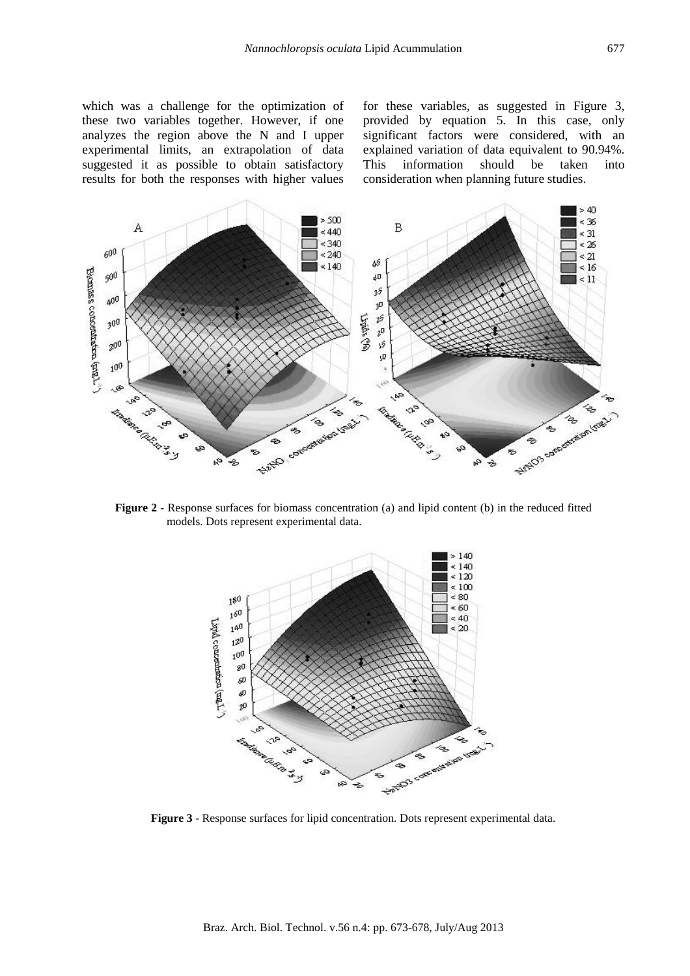which was a challenge for the optimization of these two variables together. However, if one analyzes the region above the N and I upper experimental limits, an extrapolation of data suggested it as possible to obtain satisfactory results for both the responses with higher values

for these variables, as suggested in Figure 3, provided by equation 5. In this case, only significant factors were considered, with an explained variation of data equivalent to 90.94%. This information should be taken into consideration when planning future studies.



**Figure 2** - Response surfaces for biomass concentration (a) and lipid content (b) in the reduced fitted models. Dots represent experimental data.



**Figure 3** - Response surfaces for lipid concentration. Dots represent experimental data.